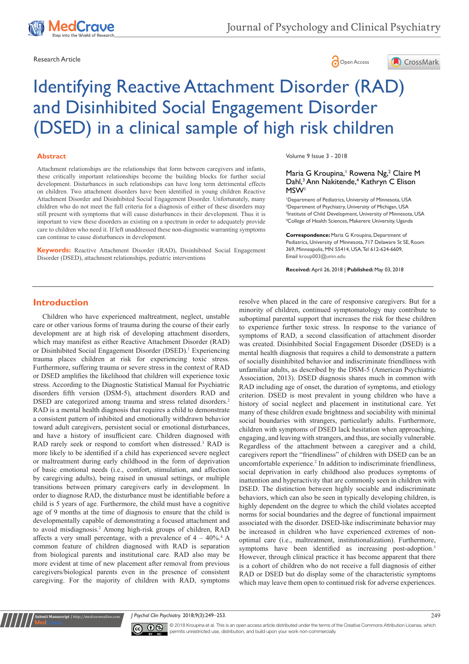





# Identifying Reactive Attachment Disorder (RAD) and Disinhibited Social Engagement Disorder (DSED) in a clinical sample of high risk children

#### **Abstract**

Attachment relationships are the relationships that form between caregivers and infants, these critically important relationships become the building blocks for further social development. Disturbances in such relationships can have long term detrimental effects on children. Two attachment disorders have been identified in young children Reactive Attachment Disorder and Disinhibited Social Engagement Disorder. Unfortunately, many children who do not meet the full criteria for a diagnosis of either of these disorders may still present with symptoms that will cause disturbances in their development. Thus it is important to view these disorders as existing on a spectrum in order to adequately provide care to children who need it. If left unaddressed these non-diagnostic warranting symptoms can continue to cause disturbances in development.

**Keywords:** Reactive Attachment Disorder (RAD), Disinhibited Social Engagement Disorder (DSED), attachment relationships, pediatric interventions

Volume 9 Issue 3 - 2018

#### Maria G Kroupina,<sup>1</sup> Rowena Ng,<sup>2</sup> Claire M Dahl,<sup>3</sup> Ann Nakitende,<sup>4</sup> Kathryn C Elison MSW1

 Department of Pediatrics, University of Minnesota, USA Department of Psychiatry, University of Michigan, USA Institute of Child Development, University of Minnesota, USA College of Health Sciences, Makerere University, Uganda

**Correspondence:** Maria G Kroupina, Department of Pediatrics, University of Minnesota, 717 Delaware St SE, Room 369, Minneapolis, MN 55414, USA, Tel 612-624-6609, Email kroup003@umn.edu

**Received:** April 26, 2018 | **Published:** May 03, 2018

## **Introduction**

Children who have experienced maltreatment, neglect, unstable care or other various forms of trauma during the course of their early development are at high risk of developing attachment disorders, which may manifest as either Reactive Attachment Disorder (RAD) or Disinhibited Social Engagement Disorder (DSED).<sup>1</sup> Experiencing trauma places children at risk for experiencing toxic stress. Furthermore, suffering trauma or severe stress in the context of RAD or DSED amplifies the likelihood that children will experience toxic stress. According to the Diagnostic Statistical Manual for Psychiatric disorders fifth version (DSM-5), attachment disorders RAD and DSED are categorized among trauma and stress related disorders.<sup>2</sup> RAD is a mental health diagnosis that requires a child to demonstrate a consistent pattern of inhibited and emotionally withdrawn behavior toward adult caregivers, persistent social or emotional disturbances, and have a history of insufficient care. Children diagnosed with RAD rarely seek or respond to comfort when distressed.<sup>3</sup> RAD is more likely to be identified if a child has experienced severe neglect or maltreatment during early childhood in the form of deprivation of basic emotional needs (i.e., comfort, stimulation, and affection by caregiving adults), being raised in unusual settings, or multiple transitions between primary caregivers early in development. In order to diagnose RAD, the disturbance must be identifiable before a child is 5 years of age. Furthermore, the child must have a cognitive age of 9 months at the time of diagnosis to ensure that the child is developmentally capable of demonstrating a focused attachment and to avoid misdiagnosis.2 Among high-risk groups of children, RAD affects a very small percentage, with a prevalence of  $4 - 40\%$ .<sup>4</sup> A common feature of children diagnosed with RAD is separation from biological parents and institutional care. RAD also may be more evident at time of new placement after removal from previous caregivers/biological parents even in the presence of consistent caregiving. For the majority of children with RAD, symptoms resolve when placed in the care of responsive caregivers. But for a minority of children, continued symptomatology may contribute to suboptimal parental support that increases the risk for these children to experience further toxic stress. In response to the variance of symptoms of RAD, a second classification of attachment disorder was created. Disinhibited Social Engagement Disorder (DSED) is a mental health diagnosis that requires a child to demonstrate a pattern of socially disinhibited behavior and indiscriminate friendliness with unfamiliar adults, as described by the DSM-5 (American Psychiatric Association, 2013). DSED diagnosis shares much in common with RAD including age of onset, the duration of symptoms, and etiology criterion. DSED is most prevalent in young children who have a history of social neglect and placement in institutional care. Yet many of these children exude brightness and sociability with minimal social boundaries with strangers, particularly adults. Furthermore, children with symptoms of DSED lack hesitation when approaching, engaging, and leaving with strangers, and thus, are socially vulnerable. Regardless of the attachment between a caregiver and a child, caregivers report the "friendliness" of children with DSED can be an uncomfortable experience.<sup>2</sup> In addition to indiscriminate friendliness, social deprivation in early childhood also produces symptoms of inattention and hyperactivity that are commonly seen in children with DSED. The distinction between highly sociable and indiscriminate behaviors, which can also be seen in typically developing children, is highly dependent on the degree to which the child violates accepted norms for social boundaries and the degree of functional impairment associated with the disorder. DSED-like indiscriminate behavior may be increased in children who have experienced extremes of nonoptimal care (i.e., maltreatment, institutionalization). Furthermore, symptoms have been identified as increasing post-adoption.<sup>5</sup> However, through clinical practice it has become apparent that there is a cohort of children who do not receive a full diagnosis of either RAD or DSED but do display some of the characteristic symptoms which may leave them open to continued risk for adverse experiences.

*J Psychol Clin Psychiatry.* 2018;9(3):249‒253. 249



**nit Manuscript** | http://medcraveonline.c

© 2018 Kroupina et al. This is an open access article distributed under the terms of the [Creative Commons Attribution License,](https://creativecommons.org/licenses/by-nc/4.0/) which permits unrestricted use, distribution, and build upon your work non-commercially.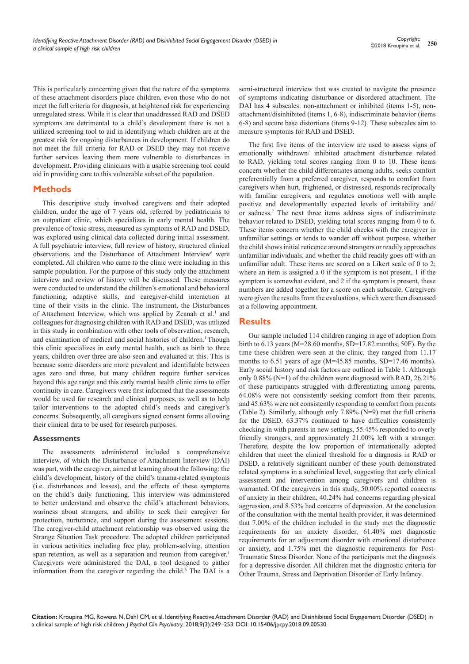This is particularly concerning given that the nature of the symptoms of these attachment disorders place children, even those who do not meet the full criteria for diagnosis, at heightened risk for experiencing unregulated stress. While it is clear that unaddressed RAD and DSED symptoms are detrimental to a child's development there is not a utilized screening tool to aid in identifying which children are at the greatest risk for ongoing disturbances in development. If children do not meet the full criteria for RAD or DSED they may not receive further services leaving them more vulnerable to disturbances in development. Providing clinicians with a usable screening tool could aid in providing care to this vulnerable subset of the population.

## **Methods**

This descriptive study involved caregivers and their adopted children, under the age of 7 years old, referred by pediatricians to an outpatient clinic, which specializes in early mental health. The prevalence of toxic stress, measured as symptoms of RAD and DSED, was explored using clinical data collected during initial assessment. A full psychiatric interview, full review of history, structured clinical observations, and the Disturbance of Attachment Interview<sup>6</sup> were completed. All children who came to the clinic were including in this sample population. For the purpose of this study only the attachment interview and review of history will be discussed. These measures were conducted to understand the children's emotional and behavioral functioning, adaptive skills, and caregiver-child interaction at time of their visits in the clinic. The instrument, the Disturbances of Attachment Interview, which was applied by Zeanah et al.<sup>1</sup> and colleagues for diagnosing children with RAD and DSED, was utilized in this study in combination with other tools of observation, research, and examination of medical and social histories of children.<sup>1</sup> Though this clinic specializes in early mental health, such as birth to three years, children over three are also seen and evaluated at this. This is because some disorders are more prevalent and identifiable between ages zero and three, but many children require further services beyond this age range and this early mental health clinic aims to offer continuity in care. Caregivers were first informed that the assessments would be used for research and clinical purposes, as well as to help tailor interventions to the adopted child's needs and caregiver's concerns. Subsequently, all caregivers signed consent forms allowing their clinical data to be used for research purposes.

### **Assessments**

The assessments administered included a comprehensive interview, of which the Disturbance of Attachment Interview (DAI) was part, with the caregiver, aimed at learning about the following: the child's development, history of the child's trauma-related symptoms (i.e. disturbances and losses), and the effects of these symptoms on the child's daily functioning. This interview was administered to better understand and observe the child's attachment behaviors, wariness about strangers, and ability to seek their caregiver for protection, nurturance, and support during the assessment sessions. The caregiver-child attachment relationship was observed using the Strange Situation Task procedure. The adopted children participated in various activities including free play, problem-solving, attention span retention, as well as a separation and reunion from caregiver.<sup>1</sup> Caregivers were administered the DAI, a tool designed to gather information from the caregiver regarding the child.<sup>6</sup> The DAI is a semi-structured interview that was created to navigate the presence of symptoms indicating disturbance or disordered attachment. The DAI has 4 subscales: non-attachment or inhibited (items 1-5), nonattachment/disinhibited (items 1, 6-8), indiscriminate behavior (items 6-8) and secure base distortions (items 9-12). These subscales aim to measure symptoms for RAD and DSED.

The first five items of the interview are used to assess signs of emotionally withdrawn/ inhibited attachment disturbance related to RAD, yielding total scores ranging from 0 to 10. These items concern whether the child differentiates among adults, seeks comfort preferentially from a preferred caregiver, responds to comfort from caregivers when hurt, frightened, or distressed, responds reciprocally with familiar caregivers, and regulates emotions well with ample positive and developmentally expected levels of irritability and/ or sadness.7 The next three items address signs of indiscriminate behavior related to DSED, yielding total scores ranging from 0 to 6. These items concern whether the child checks with the caregiver in unfamiliar settings or tends to wander off without purpose, whether the child shows initial reticence around strangers or readily approaches unfamiliar individuals, and whether the child readily goes off with an unfamiliar adult. These items are scored on a Likert scale of 0 to 2; where an item is assigned a 0 if the symptom is not present, 1 if the symptom is somewhat evident, and 2 if the symptom is present, these numbers are added together for a score on each subscale. Caregivers were given the results from the evaluations, which were then discussed at a following appointment.

## **Results**

Our sample included 114 children ranging in age of adoption from birth to 6.13 years (M=28.60 months, SD=17.82 months; 50F). By the time these children were seen at the clinic, they ranged from 11.17 months to 6.51 years of age (M=45.85 months, SD=17.46 months). Early social history and risk factors are outlined in Table 1. Although only 0.88% (N=1) of the children were diagnosed with RAD, 26.21% of these participants struggled with differentiating among parents, 64.08% were not consistently seeking comfort from their parents, and 45.63% were not consistently responding to comfort from parents (Table 2). Similarly, although only 7.89% (N=9) met the full criteria for the DSED, 63.37% continued to have difficulties consistently checking in with parents in new settings, 55.45% responded to overly friendly strangers, and approximately 21.00% left with a stranger. Therefore, despite the low proportion of internationally adopted children that meet the clinical threshold for a diagnosis in RAD or DSED, a relatively significant number of these youth demonstrated related symptoms in a subclinical level, suggesting that early clinical assessment and intervention among caregivers and children is warranted. Of the caregivers in this study, 50.00% reported concerns of anxiety in their children, 40.24% had concerns regarding physical aggression, and 8.53% had concerns of depression. At the conclusion of the consultation with the mental health provider, it was determined that 7.00% of the children included in the study met the diagnostic requirements for an anxiety disorder, 61.40% met diagnostic requirements for an adjustment disorder with emotional disturbance or anxiety, and 1.75% met the diagnostic requirements for Post-Traumatic Stress Disorder. None of the participants met the diagnosis for a depressive disorder. All children met the diagnostic criteria for Other Trauma, Stress and Deprivation Disorder of Early Infancy.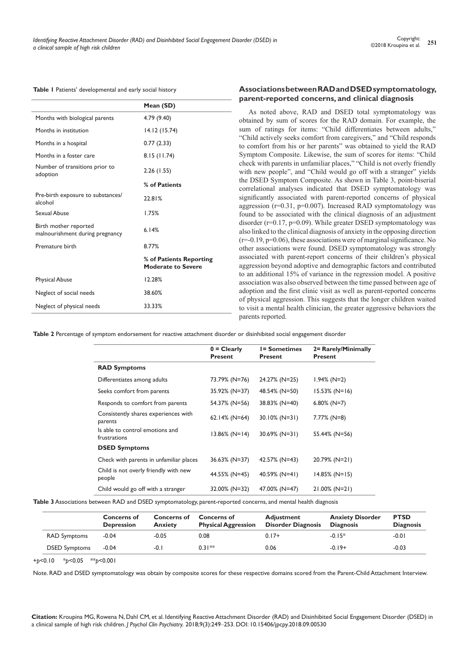|                                                          | Mean (SD)                                            |
|----------------------------------------------------------|------------------------------------------------------|
| Months with biological parents                           | 4.79 (9.40)                                          |
| Months in institution                                    | 14.12 (15.74)                                        |
| Months in a hospital                                     | 0.77(2.33)                                           |
| Months in a foster care                                  | 8.15(11.74)                                          |
| Number of transitions prior to<br>adoption               | 2.26(1.55)                                           |
|                                                          | % of Patients                                        |
| Pre-birth exposure to substances/<br>alcohol             | 22.81%                                               |
| Sexual Abuse                                             | 1.75%                                                |
| Birth mother reported<br>malnourishment during pregnancy | 6.14%                                                |
| Premature birth                                          | 8.77%                                                |
|                                                          | % of Patients Reporting<br><b>Moderate to Severe</b> |
| <b>Physical Abuse</b>                                    | 12.28%                                               |
| Neglect of social needs                                  | 38.60%                                               |
| Neglect of physical needs                                | 33.33%                                               |

#### **Associations between RAD and DSED symptomatology, parent-reported concerns, and clinical diagnosis**

As noted above, RAD and DSED total symptomatology was obtained by sum of scores for the RAD domain. For example, the sum of ratings for items: "Child differentiates between adults," "Child actively seeks comfort from caregivers," and "Child responds to comfort from his or her parents" was obtained to yield the RAD Symptom Composite. Likewise, the sum of scores for items: "Child check with parents in unfamiliar places," "Child is not overly friendly with new people", and "Child would go off with a stranger" yields the DSED Symptom Composite. As shown in Table 3, point-biserial correlational analyses indicated that DSED symptomatology was significantly associated with parent-reported concerns of physical aggression (r=0.31, p=0.007). Increased RAD symptomatology was found to be associated with the clinical diagnosis of an adjustment disorder (r=0.17, p=0.09). While greater DSED symptomatology was also linked to the clinical diagnosis of anxiety in the opposing direction  $(r=-0.19, p=0.06)$ , these associations were of marginal significance. No other associations were found. DSED symptomatology was strongly associated with parent-report concerns of their children's physical aggression beyond adoptive and demographic factors and contributed to an additional 15% of variance in the regression model. A positive association was also observed between the time passed between age of adoption and the first clinic visit as well as parent-reported concerns of physical aggression. This suggests that the longer children waited to visit a mental health clinician, the greater aggressive behaviors the parents reported.

**Table 2** Percentage of symptom endorsement for reactive attachment disorder or disinhibited social engagement disorder

|                                                 | $0 = Clearly$<br><b>Present</b> | <b>I= Sometimes</b><br><b>Present</b> | 2 = Rarely/Minimally<br><b>Present</b> |  |
|-------------------------------------------------|---------------------------------|---------------------------------------|----------------------------------------|--|
| <b>RAD Symptoms</b>                             |                                 |                                       |                                        |  |
| Differentiates among adults                     | 73.79% (N=76)                   | 24.27% (N=25)                         | $1.94\%$ (N=2)                         |  |
| Seeks comfort from parents                      | 35.92% (N=37)                   | 48.54% (N=50)                         | $15.53\%$ (N=16)                       |  |
| Responds to comfort from parents                | 54.37% (N=56)                   | 38.83% (N=40)                         | $6.80\%$ (N=7)                         |  |
| Consistently shares experiences with<br>parents | $62.14\%$ (N=64)                | $30.10\%$ (N=31)                      | 7.77% (N=8)                            |  |
| Is able to control emotions and<br>frustrations | $13.86\%$ (N=14)                | $30.69\%$ (N=31)                      | 55.44% (N=56)                          |  |
| <b>DSED Symptoms</b>                            |                                 |                                       |                                        |  |
| Check with parents in unfamiliar places         | 36.63% (N=37)                   | 42.57% (N=43)                         | 20.79% (N=21)                          |  |
| Child is not overly friendly with new<br>people | 44.55% (N=45)                   | $40.59\%$ (N=41)                      | $14.85\%$ (N=15)                       |  |
| Child would go off with a stranger              | 32.00% (N=32)                   | 47.00% (N=47)                         | $21.00\%$ (N=21)                       |  |

**Table 3** Associations between RAD and DSED symptomatology, parent-reported concerns, and mental health diagnosis

|                      | <b>Concerns of</b><br><b>Depression</b> | Concerns of<br><b>Anxiety</b> | <b>Concerns of</b><br><b>Physical Aggression</b> | <b>Adjustment</b><br><b>Disorder Diagnosis</b> | <b>Anxiety Disorder</b><br><b>Diagnosis</b> | <b>PTSD</b><br><b>Diagnosis</b> |
|----------------------|-----------------------------------------|-------------------------------|--------------------------------------------------|------------------------------------------------|---------------------------------------------|---------------------------------|
| <b>RAD Symptoms</b>  | $-0.04$                                 | $-0.05$                       | 0.08                                             | $0.17+$                                        | $-0.15*$                                    | $-0.01$                         |
| <b>DSED Symptoms</b> | $-0.04$                                 | $-0.1$                        | $0.31**$                                         | 0.06                                           | $-0.19+$                                    | $-0.03$                         |

+*p*<0.10 \**p<*0.05 \*\**p<*0.001

Note. RAD and DSED symptomatology was obtain by composite scores for these respective domains scored from the Parent-Child Attachment Interview.

**Citation:** Kroupina MG, Rowena N, Dahl CM, et al. Identifying Reactive Attachment Disorder (RAD) and Disinhibited Social Engagement Disorder (DSED) in a clinical sample of high risk children. *J Psychol Clin Psychiatry.* 2018;9(3):249‒253. DOI: [10.15406/jpcpy.2018.09.00530](https://doi.org/10.15406/jpcpy.2018.09.00530

)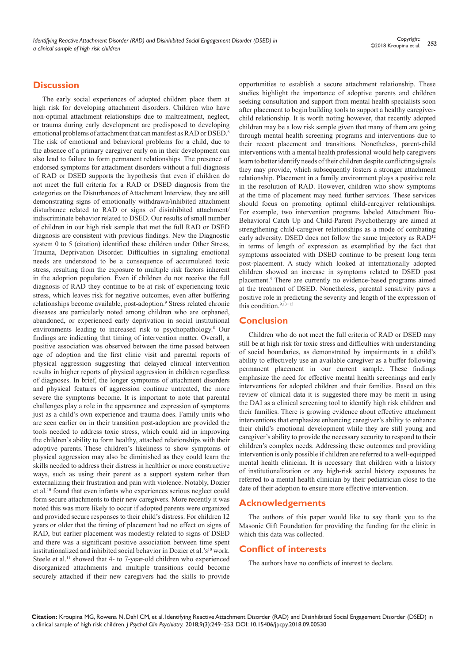## **Discussion**

The early social experiences of adopted children place them at high risk for developing attachment disorders. Children who have non-optimal attachment relationships due to maltreatment, neglect, or trauma during early development are predisposed to developing emotional problems of attachment that can manifest as RAD or DSED.<sup>8</sup> The risk of emotional and behavioral problems for a child, due to the absence of a primary caregiver early on in their development can also lead to failure to form permanent relationships. The presence of endorsed symptoms for attachment disorders without a full diagnosis of RAD or DSED supports the hypothesis that even if children do not meet the full criteria for a RAD or DSED diagnosis from the categories on the Disturbances of Attachment Interview, they are still demonstrating signs of emotionally withdrawn/inhibited attachment disturbance related to RAD or signs of disinhibited attachment/ indiscriminate behavior related to DSED. Our results of small number of children in our high risk sample that met the full RAD or DSED diagnosis are consistent with previous findings. New the Diagnostic system 0 to 5 (citation) identified these children under Other Stress, Trauma, Deprivation Disorder. Difficulties in signaling emotional needs are understood to be a consequence of accumulated toxic stress, resulting from the exposure to multiple risk factors inherent in the adoption population. Even if children do not receive the full diagnosis of RAD they continue to be at risk of experiencing toxic stress, which leaves risk for negative outcomes, even after buffering relationships become available, post-adoption.<sup>9</sup> Stress related chronic diseases are particularly noted among children who are orphaned, abandoned, or experienced early deprivation in social institutional environments leading to increased risk to psychopathology.<sup>8</sup> Our findings are indicating that timing of intervention matter. Overall, a positive association was observed between the time passed between age of adoption and the first clinic visit and parental reports of physical aggression suggesting that delayed clinical intervention results in higher reports of physical aggression in children regardless of diagnoses. In brief, the longer symptoms of attachment disorders and physical features of aggression continue untreated, the more severe the symptoms become. It is important to note that parental challenges play a role in the appearance and expression of symptoms just as a child's own experience and trauma does. Family units who are seen earlier on in their transition post-adoption are provided the tools needed to address toxic stress, which could aid in improving the children's ability to form healthy, attached relationships with their adoptive parents. These children's likeliness to show symptoms of physical aggression may also be diminished as they could learn the skills needed to address their distress in healthier or more constructive ways, such as using their parent as a support system rather than externalizing their frustration and pain with violence. Notably, Dozier et al.10 found that even infants who experiences serious neglect could form secure attachments to their new caregivers. More recently it was noted this was more likely to occur if adopted parents were organized and provided secure responses to their child's distress. For children 12 years or older that the timing of placement had no effect on signs of RAD, but earlier placement was modestly related to signs of DSED and there was a significant positive association between time spent institutionalized and inhibited social behavior in Dozier et al.' $s^{10}$  work. Steele et al.<sup>11</sup> showed that 4- to 7-year-old children who experienced disorganized attachments and multiple transitions could become securely attached if their new caregivers had the skills to provide

opportunities to establish a secure attachment relationship. These studies highlight the importance of adoptive parents and children seeking consultation and support from mental health specialists soon after placement to begin building tools to support a healthy caregiverchild relationship. It is worth noting however, that recently adopted children may be a low risk sample given that many of them are going through mental health screening programs and interventions due to their recent placement and transitions. Nonetheless, parent-child interventions with a mental health professional would help caregivers learn to better identify needs of their children despite conflicting signals they may provide, which subsequently fosters a stronger attachment relationship. Placement in a family environment plays a positive role in the resolution of RAD. However, children who show symptoms at the time of placement may need further services. These services should focus on promoting optimal child-caregiver relationships. For example, two intervention programs labeled Attachment Bio-Behavioral Catch Up and Child-Parent Psychotherapy are aimed at strengthening child-caregiver relationships as a mode of combating early adversity. DSED does not follow the same trajectory as RAD<sup>12</sup> in terms of length of expression as exemplified by the fact that symptoms associated with DSED continue to be present long term post-placement. A study which looked at internationally adopted children showed an increase in symptoms related to DSED post placement.<sup>5</sup> There are currently no evidence-based programs aimed at the treatment of DSED. Nonetheless, parental sensitivity pays a positive role in predicting the severity and length of the expression of this condition.9,13−15

## **Conclusion**

Children who do not meet the full criteria of RAD or DSED may still be at high risk for toxic stress and difficulties with understanding of social boundaries, as demonstrated by impairments in a child's ability to effectively use an available caregiver as a buffer following permanent placement in our current sample. These findings emphasize the need for effective mental health screenings and early interventions for adopted children and their families. Based on this review of clinical data it is suggested there may be merit in using the DAI as a clinical screening tool to identify high risk children and their families. There is growing evidence about effective attachment interventions that emphasize enhancing caregiver's ability to enhance their child's emotional development while they are still young and caregiver's ability to provide the necessary security to respond to their children's complex needs. Addressing these outcomes and providing intervention is only possible if children are referred to a well-equipped mental health clinician. It is necessary that children with a history of institutionalization or any high-risk social history exposures be referred to a mental health clinician by their pediatrician close to the date of their adoption to ensure more effective intervention.

## **Acknowledgements**

The authors of this paper would like to say thank you to the Masonic Gift Foundation for providing the funding for the clinic in which this data was collected.

# **Conflict of interests**

The authors have no conflicts of interest to declare.